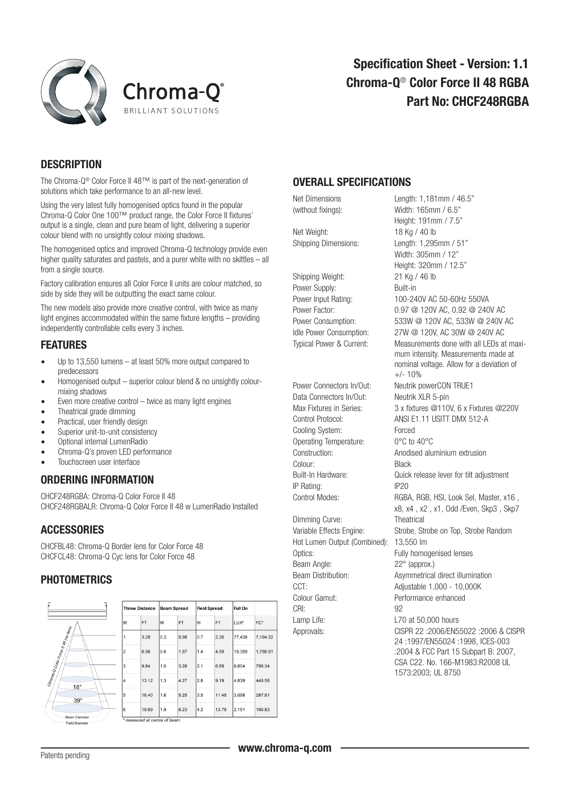



### **DESCRIPTION**

The Chroma-Q® Color Force II 48™ is part of the next-generation of solutions which take performance to an all-new level.

Using the very latest fully homogenised optics found in the popular Chroma-Q Color One 100™ product range, the Color Force II fixtures' output is a single, clean and pure beam of light, delivering a superior colour blend with no unsightly colour mixing shadows.

The homogenised optics and improved Chroma-Q technology provide even higher quality saturates and pastels, and a purer white with no skittles – all from a single source.

Factory calibration ensures all Color Force II units are colour matched, so side by side they will be outputting the exact same colour.

The new models also provide more creative control, with twice as many light engines accommodated within the same fixture lengths – providing independently controllable cells every 3 inches.

#### FEATURES

- • Up to 13,550 lumens at least 50% more output compared to predecessors
- Homogenised output superior colour blend & no unsightly colourmixing shadows
- Even more creative control twice as many light engines
- Theatrical grade dimming
- Practical, user friendly design
- Superior unit-to-unit consistency
- • Optional internal LumenRadio
- Chroma-Q's proven LED performance
- Touchscreen user interface

### ORDERING INFORMATION

CHCF248RGBA: Chroma-Q Color Force II 48 CHCF248RGBALR: Chroma-Q Color Force II 48 w LumenRadio Installed

## **ACCESSORIES**

CHCFBL48: Chroma-Q Border lens for Color Force 48 CHCFCL48: Chroma-Q Cyc lens for Color Force 48

### PHOTOMETRICS



# OVERALL SPECIFICATIONS

(without fixings): Width: 165mm / 6.5" Net Weight: 18 Kg / 40 lb

Shipping Weight: 21 Kg / 46 lb Power Supply: Built-in

Data Connectors In/Out: Neutrik XLR 5-pin Cooling System: Forced Operating Temperature: 0°C to 40°C Colour: Black IP Rating: IP20

Dimming Curve: Theatrical Hot Lumen Output (Combined): 13,550 lm Optics: Fully homogenised lenses Beam Angle: 22° (approx.) CCT: Adjustable 1,000 - 10,000K Colour Gamut: Performance enhanced CRI: 92 Lamp Life: L70 at 50,000 hours

Net Dimensions Length: 1,181mm / 46.5" Height: 191mm / 7.5" Shipping Dimensions: Length: 1,295mm / 51" Width: 305mm / 12" Height: 320mm / 12.5" Power Input Rating: 100-240V AC 50-60Hz 550VA Power Factor: 0.97 @ 120V AC, 0.92 @ 240V AC Power Consumption: 533W @ 120V AC, 533W @ 240V AC Idle Power Consumption: 27W @ 120V, AC 30W @ 240V AC Typical Power & Current: Measurements done with all LEDs at maxi mum intensity. Measurements made at nominal voltage. Allow for a deviation of  $+/- 10%$ Power Connectors In/Out: Neutrik powerCON TRUE1 Max Fixtures in Series: 3 x fixtures @110V, 6 x Fixtures @220V Control Protocol: ANSI E1.11 USITT DMX 512-A Construction: Anodised aluminium extrusion Built-In Hardware: Quick release lever for tilt adjustment Control Modes: RGBA, RGB, HSI, Look Sel, Master, x16 , x8, x4 , x2 , x1, Odd /Even, Skp3 , Skp7 Variable Effects Engine: Strobe, Strobe on Top, Strobe Random Beam Distribution: Asymmetrical direct illumination Approvals: CISPR 22 :2006/EN55022 :2006 & CISPR 24 :1997/EN55024 :1998, ICES-003 :2004 & FCC Part 15 Subpart B: 2007,

 CSA C22. No. 166-M1983:R2008 UL 1573:2003; UL 8750